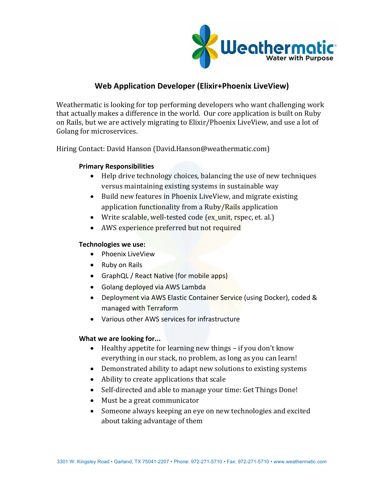

# **Web Application Developer (Elixir+Phoenix LiveView)**

Weathermatic is looking for top performing developers who want challenging work that actually makes a difference in the world. Our core application is built on Ruby on Rails, but we are actively migrating to Elixir/Phoenix LiveView, and use a lot of Golang for microservices.

Hiring Contact: David Hanson (David.Hanson@weathermatic.com)

## **Primary Responsibilities**

- $\bullet$  Help drive technology choices, balancing the use of new techniques versus maintaining existing systems in sustainable way
- Build new features in Phoenix LiveView, and migrate existing application functionality from a Ruby/Rails application
- Write scalable, well-tested code (ex\_unit,  $rspec$ , et. al.)
- AWS experience preferred but not required

## **Technologies we use:**

- Phoenix LiveView
- Ruby on Rails
- GraphQL / React Native (for mobile apps)
- Golang deployed via AWS Lambda
- Deployment via AWS Elastic Container Service (using Docker), coded & managed with Terraform
- Various other AWS services for infrastructure

# **What we are looking for...**

- Healthy appetite for learning new things  $-$  if you don't know everything in our stack, no problem, as long as you can learn!
- Demonstrated ability to adapt new solutions to existing systems
- Ability to create applications that scale
- Self-directed and able to manage your time: Get Things Done!
- Must be a great communicator
- Someone always keeping an eye on new technologies and excited about taking advantage of them